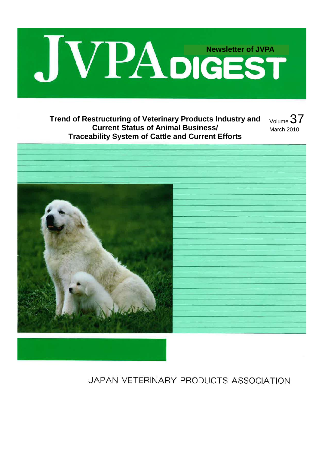

## **Trend of Restructuring of Veterinary Products Industry and Current Status of Animal Business/ Traceability System of Cattle and Current Efforts**

Volume 37 March 2010



JAPAN VETERINARY PRODUCTS ASSOCIATION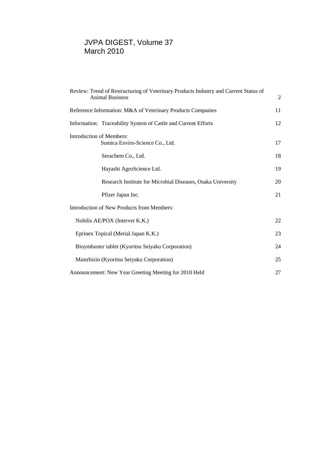## JVPA DIGEST, Volume 37 March 2010

| Review: Trend of Restructuring of Veterinary Products Industry and Current Status of<br><b>Animal Business</b> | $\overline{2}$ |
|----------------------------------------------------------------------------------------------------------------|----------------|
| Reference Information: M&A of Veterinary Products Companies                                                    | 11             |
| Information: Traceability System of Cattle and Current Efforts                                                 | 12             |
| <b>Introduction of Members:</b><br>Sumica Enviro-Science Co., Ltd.                                             | 17             |
| Serachem Co., Ltd.                                                                                             | 18             |
| Hayashi AgroScience Ltd.                                                                                       | 19             |
| Research Institute for Microbial Diseases, Osaka University                                                    | 20             |
| Pfizer Japan Inc.                                                                                              | 21             |
| Introduction of New Products from Members:                                                                     |                |
| Nobilis AE/POX (Intervet K.K.)                                                                                 | 22             |
| Eprinex Topical (Merial Japan K.K.)                                                                            | 23             |
| Bioymbuster tablet (Kyoritsu Seiyaku Corporation)                                                              | 24             |
| Mastrhizin (Kyoritsu Seiyaku Corporation)                                                                      | 25             |
| Announcement: New Year Greeting Meeting for 2010 Held                                                          | 27             |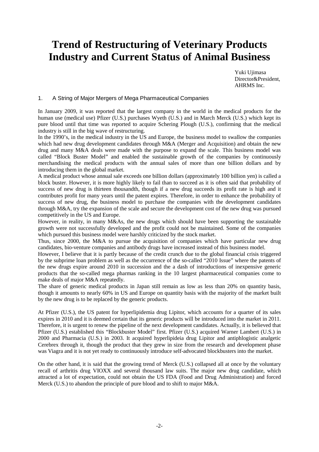# **Trend of Restructuring of Veterinary Products Industry and Current Status of Animal Business**

Yuki Ujimasa Director&President, AHRMS Inc.

#### 1. A String of Major Mergers of Mega Pharmaceutical Companies

In January 2009, it was reported that the largest company in the world in the medical products for the human use (medical use) Pfizer (U.S.) purchases Wyeth (U.S.) and in March Merck (U.S.) which kept its pure blood until that time was reported to acquire Schering Plough (U.S.), confirming that the medical industry is still in the big wave of restructuring.

In the 1990's, in the medical industry in the US and Europe, the business model to swallow the companies which had new drug development candidates through M&A (Merger and Acquisition) and obtain the new drug and many M&A deals were made with the purpose to expand the scale. This business model was called "Block Buster Model" and enabled the sustainable growth of the companies by continuously merchandising the medical products with the annual sales of more than one billion dollars and by introducing them in the global market.

A medical product whose annual sale exceeds one billion dollars (approximately 100 billion yen) is called a block buster. However, it is more highly likely to fail than to succeed as it is often said that probability of success of new drug is thirteen thousandth, though if a new drug succeeds its profit rate is high and it contributes profit for many years until the patent expires. Therefore, in order to enhance the probability of success of new drug, the business model to purchase the companies with the development candidates through M&A, try the expansion of the scale and secure the development cost of the new drug was pursued competitively in the US and Europe.

However, in reality, in many M&As, the new drugs which should have been supporting the sustainable growth were not successfully developed and the profit could not be maintained. Some of the companies which pursued this business model were harshly criticized by the stock market.

Thus, since 2000, the M&A to pursue the acquisition of companies which have particular new drug candidates, bio-venture companies and antibody drugs have increased instead of this business model.

However, I believe that it is partly because of the credit crunch due to the global financial crisis triggered by the subprime loan problem as well as the occurrence of the so-called "2010 Issue" where the patents of the new drugs expire around 2010 in succession and the a dash of introductions of inexpensive generic products that the so-called mega pharmas ranking in the 10 largest pharmaceutical companies come to make deals of major M&A repeatedly.

The share of generic medical products in Japan still remain as low as less than 20% on quantity basis, though it amounts to nearly 60% in US and Europe on quantity basis with the majority of the market built by the new drug is to be replaced by the generic products.

At Pfizer (U.S.), the US patent for hyperlipidemia drug Lipitor, which accounts for a quarter of its sales expires in 2010 and it is deemed certain that its generic products will be introduced into the market in 2011. Therefore, it is urgent to renew the pipeline of the next development candidates. Actually, it is believed that Pfizer (U.S.) established this "Blockbuster Model" first. Pfizer (U.S.) acquired Warner Lambert (U.S.) in 2000 and Pharmacia (U.S.) in 2003. It acquired hyperlipideia drug Lipitor and antiphlogistic analgetic Cerebrex through it, though the product that they grew in size from the research and development phase was Viagra and it is not yet ready to continuously introduce self-advocated blockbusters into the market.

On the other hand, it is said that the growing trend of Merck (U.S.) collapsed all at once by the voluntary recall of arthritis drug VIOXX and several thousand law suits. The major new drug candidate, which attracted a lot of expectation, could not obtain the US FDA (Food and Drug Administration) and forced Merck (U.S.) to abandon the principle of pure blood and to shift to major M&A.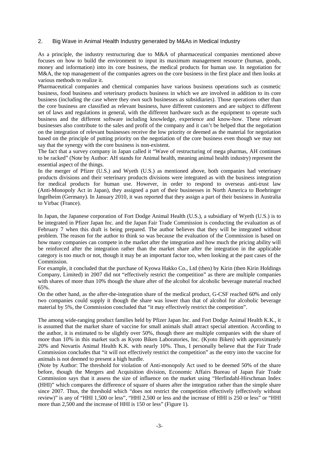#### 2. Big Wave in Animal Health Industry generated by M&As in Medical Industry

As a principle, the industry restructuring due to M&A of pharmaceutical companies mentioned above focuses on how to build the environment to input its maximum management resource (human, goods, money and information) into its core business, the medical products for human use. In negotiation for M&A, the top management of the companies agrees on the core business in the first place and then looks at various methods to realize it.

Pharmaceutical companies and chemical companies have various business operations such as cosmetic business, food business and veterinary products business in which we are involved in addition to its core business (including the case where they own such businesses as subsidiaries). Those operations other than the core business are classified as relevant business, have different customers and are subject to different set of laws and regulations in general, with the different hardware such as the equipment to operate such business and the different software including knowledge, experience and know-how. These relevant businesses also contribute to the sales and profit of the company and it can't be helped that the negotiation on the integration of relevant businesses receive the low priority or deemed as the material for negotiation based on the principle of putting priority on the negotiation of the core business even though we may not say that the synergy with the core business is non-existent.

The fact that a survey company in Japan called it "Wave of restructuring of mega pharmas, AH continues to be racked" (Note by Author: AH stands for Animal health, meaning animal health industry) represent the essential aspect of the things.

In the merger of Pfizer (U.S.) and Wyeth (U.S.) as mentioned above, both companies had veterinary products divisions and their veterinary products divisions were integrated as with the business integration for medical products for human use. However, in order to respond to overseas anti-trust law (Anti-Monopoly Act in Japan), they assigned a part of their businesses in North America to Boehringer Ingelheim (Germany). In January 2010, it was reported that they assign a part of their business in Australia to Virbac (France).

In Japan, the Japanese corporation of Fort Dodge Animal Health (U.S.), a subsidiary of Wyeth (U.S.) is to be integrated in Pfizer Japan Inc. and the Japan Fair Trade Commission is conducting the evaluation as of February 7 when this draft is being prepared. The author believes that they will be integrated without problem. The reason for the author to think so was because the evaluation of the Commission is based on how many companies can compete in the market after the integration and how much the pricing ability will be reinforced after the integration rather than the market share after the integration in the applicable category is too much or not, though it may be an important factor too, when looking at the past cases of the Commission.

For example, it concluded that the purchase of Kyowa Hakko Co., Ltd (then) by Kirin (then Kirin Holdings Company, Limited) in 2007 did not "effectively restrict the competition" as there are multiple companies with shares of more than 10% though the share after of the alcohol for alcoholic beverage material reached 65%.

On the other hand, as the after-the-integration share of the medical product, G-CSF reached 60% and only two companies could supply it though the share was lower than that of alcohol for alcoholic beverage material by 5%, the Commission concluded that "it may effectively restrict the competition".

The among wide-ranging product families held by Pfizer Japan Inc. and Fort Dodge Animal Health K.K., it is assumed that the market share of vaccine for small animals shall attract special attention. According to the author, it is estimated to be slightly over 50%, though there are multiple companies with the share of more than 10% in this market such as Kyoto Biken Laboratories, Inc. (Kyoto Biken) with approximately 20% and Novartis Animal Health K.K. with nearly 10%. Thus, I personally believe that the Fair Trade Commission concludes that "it will not effectively restrict the competition" as the entry into the vaccine for animals is not deemed to present a high hurdle.

(Note by Author: The threshold for violation of Anti-monopoly Act used to be deemed 50% of the share before, though the Mergers and Acquisition division, Economic Affairs Bureau of Japan Fair Trade Commission says that it assess the size of influence on the market using "Herfindahl-Hirschman Index (HHI)" which compares the difference of square of shares after the integration rather than the simple share since 2007. Thus, the threshold which "does not restrict the competition effectively (effectively without review)" is any of "HHI 1,500 or less", "HHI 2,500 or less and the increase of HHI is 250 or less" or "HHI more than 2,500 and the increase of HHI is 150 or less" (Figure 1).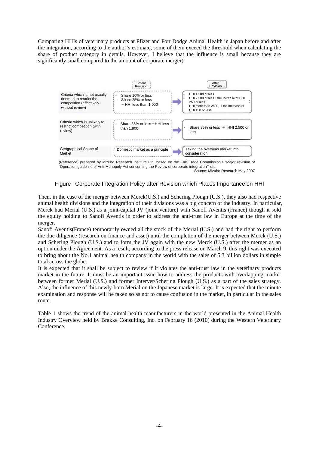Comparing HHIs of veterinary products at Pfizer and Fort Dodge Animal Health in Japan before and after the integration, according to the author's estimate, some of them exceed the threshold when calculating the share of product category in details. However, I believe that the influence is small because they are significantly small compared to the amount of corporate merger).



(Reference) prepared by Mizuho Research Institute Ltd. based on the Fair Trade Commission's "Major revision of "Operation guideline of Anti-Monopoly Act concerning the Review of corporate integration"" etc. Source: Mizuho Research May 2007

#### Figure l Corporate Integration Policy after Revision which Places Importance on HHI

Then, in the case of the merger between Merck(U.S.) and Schering Plough (U.S.), they also had respective animal health divisions and the integration of their divisions was a big concern of the industry. In particular, Merck had Merial (U.S.) as a joint-capital JV (joint venture) with Sanofi Aventis (France) though it sold the equity holding to Sanofi Aventis in order to address the anti-trust law in Europe at the time of the merger.

Sanofi Aventis(France) temporarily owned all the stock of the Merial (U.S.) and had the right to perform the due diligence (research on finance and asset) until the completion of the merger between Merck (U.S.) and Schering Plough (U.S.) and to form the JV again with the new Merck (U.S.) after the merger as an option under the Agreement. As a result, according to the press release on March 9, this right was executed to bring about the No.1 animal health company in the world with the sales of 5.3 billion dollars in simple total across the globe.

It is expected that it shall be subject to review if it violates the anti-trust law in the veterinary products market in the future. It must be an important issue how to address the products with overlapping market between former Merial (U.S.) and former Intervet/Schering Plough (U.S.) as a part of the sales strategy. Also, the influence of this newly-born Merial on the Japanese market is large. It is expected that the minute examination and response will be taken so as not to cause confusion in the market, in particular in the sales route.

Table 1 shows the trend of the animal health manufacturers in the world presented in the Animal Health Industry Overview held by Brakke Consulting, Inc. on February 16 (2010) during the Western Veterinary Conference.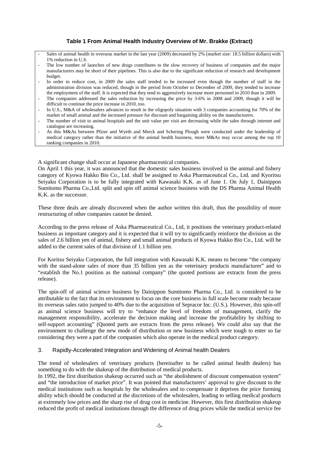### **Table 1 From Animal Health Industry Overview of Mr. Brakke (Extract)**

- Sales of animal health in overseas market in the last year (2009) decreased by 2% (market size: 18.5 billion dollars) with 1% reduction in U.S.
- The low number of launches of new drugs contributes to the slow recovery of business of companies and the major manufacturers may be short of their pipelines. This is also due to the significant reduction of research and development budget.
- In order to reduce cost, in 2009 the sales staff tended to be increased even though the number of staff in the administration division was reduced, though in the period from October to December of 2009, they tended to increase the employment of the staff. It is expected that they tend to aggressively increase more personnel in 2010 than in 2009.
- The companies addressed the sales reduction by increasing the price by 3-6% in 2008 and 2009, though it will be difficult to continue the price increase in 2010, too.
- In U.S., M&A of wholesalers advances to result in the oligopoly situation with 3 companies accounting for 70% of the market of small animal and the increased pressure for discount and bargaining ability on the manufacturers.
- The number of visit to animal hospitals and the unit value per visit are decreasing while the sales through internet and catalogue are increasing.
- As this M&As between Pfizer and Wyeth and Merck and Schering Plough were conducted under the leadership of medical category rather than the initiative of the animal health business, more M&As may occur among the top 10 ranking companies in 2010.

A significant change shall occur at Japanese pharmaceutical companies.

On April 1 this year, it was announced that the domestic sales business involved in the animal and fishery category of Kyowa Hakko Bio Co., Ltd. shall be assigned to Aska Pharmaceutical Co., Ltd. and Kyoritsu Seiyaku Corporation is to be fully integrated with Kawasaki K.K. as of June 1. On July 1, Dainippon Sumitomo Pharma Co.,Ltd. split and spin off animal science business with the DS Pharma Animal Health K.K. as the successor.

These three deals are already discovered when the author written this draft, thus the possibility of more restructuring of other companies cannot be denied.

According to the press release of Aska Pharmaceutical Co., Ltd, it positions the veterinary product-related business as important category and it is expected that it will try to significantly reinforce the division as the sales of 2.6 billion yen of animal, fishery and small animal products of Kyowa Hakko Bio Co., Ltd. will be added to the current sales of that division of 1.1 billion yen.

For Koritsu Seiyaku Corporation, the full integration with Kawasaki K.K. means to become "the company with the stand-alone sales of more than 35 billion yen as the veterinary products manufacturer" and to "establish the No.1 position as the national company" (the quoted portions are extracts from the press release).

The spin-off of animal science business by Dainippon Sumitomo Pharma Co., Ltd. is considered to be attributable to the fact that its environment to focus on the core business in full scale become ready because its overseas sales ratio jumped to 40% due to the acquisition of Sepracor Inc. (U.S.). However, this spin-off as animal science business will try to "enhance the level of freedom of management, clarify the management responsibility, accelerate the decision making and increase the profitability by shifting to self-support accounting" (Quoted parts are extracts from the press release). We could also say that the environment to challenge the new mode of distribution or new business which were tough to enter so far considering they were a part of the companies which also operate in the medical product category.

#### 3. Rapidly-Accelerated Integration and Widening of Animal health Dealers

The trend of wholesalers of veterinary products (hereinafter to be called animal health dealers) has something to do with the shakeup of the distribution of medical products.

In 1992, the first distribution shakeup occurred such as "the abolishment of discount compensation system" and "the introduction of market price". It was pointed that manufacturers' approval to give discount to the medical institutions such as hospitals by the wholesalers and to compensate it deprives the price forming ability which should be conducted at the discretions of the wholesalers, leading to selling medical products at extremely low prices and the sharp rise of drug cost in medicine. However, this first distribution shakeup reduced the profit of medical institutions through the difference of drug prices while the medical service fee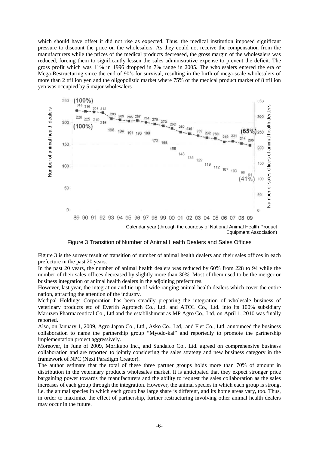which should have offset it did not rise as expected. Thus, the medical institution imposed significant pressure to discount the price on the wholesalers. As they could not receive the compensation from the manufacturers while the prices of the medical products decreased, the gross margin of the wholesalers was reduced, forcing them to significantly lessen the sales administrative expense to prevent the deficit. The gross profit which was 11% in 1996 dropped in 7% range in 2005. The wholesalers entered the era of Mega-Restructuring since the end of 90's for survival, resulting in the birth of mega-scale wholesalers of more than 2 trillion yen and the oligopolistic market where 75% of the medical product market of 8 trillion yen was occupied by 5 major wholesalers



Calendar year (through the courtesy of National Animal Health Product

Figure 3 Transition of Number of Animal Health Dealers and Sales Offices

Figure 3 is the survey result of transition of number of animal health dealers and their sales offices in each prefecture in the past 20 years.

In the past 20 years, the number of animal health dealers was reduced by 60% from 228 to 94 while the number of their sales offices decreased by slightly more than 30%. Most of them used to be the merger or business integration of animal health dealers in the adjoining prefectures.

However, last year, the integration and tie-up of wide-ranging animal health dealers which cover the entire nation, attracting the attention of the industry.

Medipal Holdings Corporation has been steadily preparing the integration of wholesale business of veterinary products etc of Everlth Agrotech Co., Ltd. and ATOL Co., Ltd. into its 100% subsidiary Maruzen Pharmaceutical Co., Ltd.and the establishment as MP Agro Co., Ltd. on April 1, 2010 was finally reported.

Also, on January 1, 2009, Agro Japan Co., Ltd., Asko Co., Ltd,. and Flet Co., Ltd. announced the business collaboration to name the partnership group "Myodo-kai" and reportedly to promote the partnership implementation project aggressively.

Moreover, in June of 2009, Morikubo Inc., and Sundaico Co., Ltd. agreed on comprehensive business collaboration and are reported to jointly considering the sales strategy and new business category in the framework of NPC (Next Paradigm Creator).

The author estimate that the total of these three partner groups holds more than 70% of amount in distribution in the veterinary products wholesales market. It is anticipated that they expect stronger price bargaining power towards the manufacturers and the ability to request the sales collaboration as the sales increases of each group through the integration. However, the animal species in which each group is strong, i.e. the animal species in which each group has large share is different, and its home areas vary, too. Thus, in order to maximize the effect of partnership, further restructuring involving other animal health dealers may occur in the future.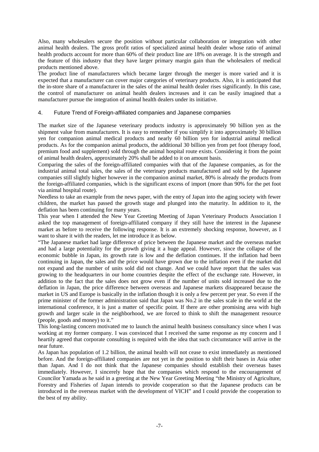Also, many wholesalers secure the position without particular collaboration or integration with other animal health dealers. The gross profit ratios of specialized animal health dealer whose ratio of animal health products account for more than 60% of their product line are 18% on average. It is the strength and the feature of this industry that they have larger primary margin gain than the wholesalers of medical products mentioned above.

The product line of manufacturers which became larger through the merger is more varied and it is expected that a manufacturer can cover major categories of veterinary products. Also, it is anticipated that the in-store share of a manufacturer in the sales of the animal health dealer rises significantly. In this case, the control of manufacturer on animal health dealers increases and it can be easily imagined that a manufacturer pursue the integration of animal health dealers under its initiative.

#### 4. Future Trend of Foreign-affiliated companies and Japanese companies

The market size of the Japanese veterinary products industry is approximately 90 billion yen as the shipment value from manufacturers. It is easy to remember if you simplify it into approximately 30 billion yen for companion animal medical products and nearly 60 billion yen for industrial animal medical products. As for the companion animal products, the additional 30 billion yen from pet foot (therapy food, premium food and supplement) sold through the animal hospital route exists. Considering it from the point of animal health dealers, approximately 20% shall be added to it on amount basis.

Comparing the sales of the foreign-affiliated companies with that of the Japanese companies, as for the industrial animal total sales, the sales of the veterinary products manufactured and sold by the Japanese companies still slightly higher however in the companion animal market, 80% is already the products from the foreign-affiliated companies, which is the significant excess of import (more than 90% for the pet foot via animal hospital route).

Needless to take an example from the news paper, with the entry of Japan into the aging society with fewer children, the market has passed the growth stage and plunged into the maturity. In addition to it, the deflation has been continuing for many years.

This year when I attended the New Year Greeting Meeting of Japan Veterinary Products Association I asked the top management of foreign-affiliated company if they still have the interest in the Japanese market as before to receive the following response. It is an extremely shocking response, however, as I want to share it with the readers, let me introduce it as below.

"The Japanese market had large difference of price between the Japanese market and the overseas market and had a large potentiality for the growth giving it a huge appeal. However, since the collapse of the economic bubble in Japan, its growth rate is low and the deflation continues. If the inflation had been continuing in Japan, the sales and the price would have grown due to the inflation even if the market did not expand and the number of units sold did not change. And we could have report that the sales was growing to the headquarters in our home countries despite the effect of the exchange rate. However, in addition to the fact that the sales does not grow even if the number of units sold increased due to the deflation in Japan, the price difference between overseas and Japanese markets disappeared because the market in US and Europe is basically in the inflation though it is only a few percent per year. So even if the prime minister of the former administration said that Japan was No.2 in the sales scale in the world at the international conference, it is just a matter of specific point. If there are other promising area with high growth and larger scale in the neighborhood, we are forced to think to shift the management resource (people, goods and money) to it."

This long-lasting concern motivated me to launch the animal health business consultancy since when I was working at my former company. I was convinced that I received the same response as my concern and I heartily agreed that corporate consulting is required with the idea that such circumstance will arrive in the near future.

As Japan has population of 1.2 billion, the animal health will not cease to exist immediately as mentioned before. And the foreign-affiliated companies are not yet in the position to shift their bases in Asia other than Japan. And I do not think that the Japanese companies should establish their overseas bases immediately. However, I sincerely hope that the companies which respond to the encouragement of Councilor Yamada as he said in a greeting at the New Year Greeting Meeting "the Ministry of Agriculture, Forestry and Fisheries of Japan intends to provide cooperation so that the Japanese products can be introduced in the overseas market with the development of VICH" and I could provide the cooperation to the best of my ability.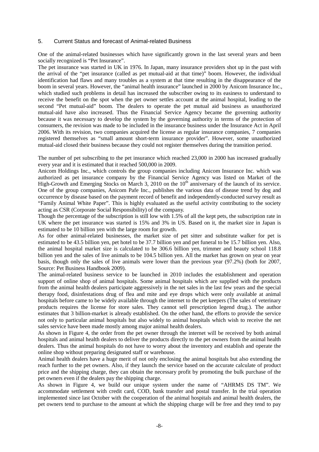#### 5. Current Status and forecast of Animal-related Business

One of the animal-related businesses which have significantly grown in the last several years and been socially recognized is "Pet Insurance".

The pet insurance was started in UK in 1976. In Japan, many insurance providers shot up in the past with the arrival of the "pet insurance (called as pet mutual-aid at that time)" boom. However, the individual identification had flaws and many troubles as a system at that time resulting in the disappearance of the boom in several years. However, the "animal health insurance" launched in 2000 by Anicom Insurance Inc., which studied such problems in detail has increased the subscriber owing to its easiness to understand to receive the benefit on the spot when the pet owner settles account at the animal hospital, leading to the second "Pet mutual-aid" boom. The dealers to operate the pet mutual aid business as unauthorized mutual-aid have also increased. Thus the Financial Service Agency became the governing authority because it was necessary to develop the system by the governing authority in terms of the protection of consumers, the revision was made to be included in the insurance business under the Insurance Act in April 2006. With its revision, two companies acquired the license as regular insurance companies, 7 companies registered themselves as "small amount short-term insurance provider". However, some unauthorized mutual-aid closed their business because they could not register themselves during the transition period.

The number of pet subscribing to the pet insurance which reached 23,000 in 2000 has increased gradually every year and it is estimated that it reached 500,000 in 2009.

Anicom Holdings Inc., which controls the group companies including Anicom Insurance Inc. which was authorized as pet insurance company by the Financial Service Agency was listed on Market of the High-Growth and Emerging Stocks on March 3, 2010 on the 10th anniversary of the launch of its service. One of the group companies, Anicom Pafe Inc., publishes the various data of disease trend by dog and occurrence by disease based on the payment record of benefit and independently-conducted survey result as "Family Animal White Paper". This is highly evaluated as the useful activity contributing to the society acting as CSR (Corporate Social Responsibility) of the company.

Though the percentage of the subscription is still low with 1.5% of all the kept pets, the subscription rate in UK where the pet insurance was started is 15% and 3% in US. Based on it, the market size in Japan is estimated to be 10 billion yen with the large room for growth.

As for other animal-related businesses, the market size of pet sitter and substitute walker for pet is estimated to be 43.5 billion yen, pet hotel to be 37.7 billion yen and pet funeral to be 15.7 billion yen. Also, the animal hospital market size is calculated to be 306.6 billion yen, trimmer and beauty school 118.8 billion yen and the sales of live animals to be 104.5 billion yen. All the market has grown on year on year basis, though only the sales of live animals were lower than the previous year (97.2%) (both for 2007, Source: Pet Business Handbook 2009).

The animal-related business service to be launched in 2010 includes the establishment and operation support of online shop of animal hospitals. Some animal hospitals which are supplied with the products from the animal health dealers participate aggressively in the net sales in the last few years and the special therapy food, disinfestations drug of flea and mite and eye drops which were only available at animal hospitals before came to be widely available through the internet to the pet keepers (The sales of veterinary products requires the license for store sales. They cannot sell prescription legend drug.). The author estimates that 3 billion-market is already established. On the other hand, the efforts to provide the service not only to particular animal hospitals but also widely to animal hospitals which wish to receive the net sales service have been made mostly among major animal health dealers.

As shown in Figure 4, the order from the pet owner through the internet will be received by both animal hospitals and animal health dealers to deliver the products directly to the pet owners from the animal health dealers. Thus the animal hospitals do not have to worry about the inventory and establish and operate the online shop without preparing designated staff or warehouse.

Animal health dealers have a huge merit of not only enclosing the animal hospitals but also extending the reach further to the pet owners. Also, if they launch the service based on the accurate calculate of product price and the shipping charge, they can obtain the necessary profit by promoting the bulk purchase of the pet owners even if the dealers pay the shipping charge.

As shown in Figure 4, we build our unique system under the name of "AHRMS DS TM". We accommodate settlement with credit card, COD, bank transfer and postal transfer. In the trial operation implemented since last October with the cooperation of the animal hospitals and animal health dealers, the pet owners tend to purchase to the amount at which the shipping charge will be free and they tend to pay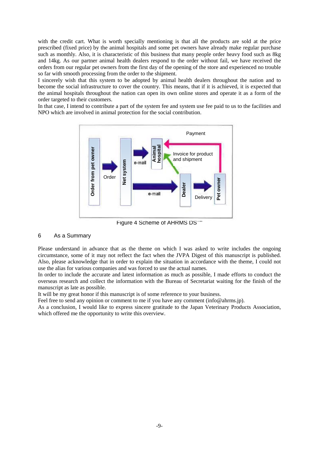with the credit cart. What is worth specially mentioning is that all the products are sold at the price prescribed (fixed price) by the animal hospitals and some pet owners have already make regular purchase such as monthly. Also, it is characteristic of this business that many people order heavy food such as 8kg and 14kg. As our partner animal health dealers respond to the order without fail, we have received the orders from our regular pet owners from the first day of the opening of the store and experienced no trouble so far with smooth processing from the order to the shipment.

I sincerely wish that this system to be adopted by animal health dealers throughout the nation and to become the social infrastructure to cover the country. This means, that if it is achieved, it is expected that the animal hospitals throughout the nation can open its own online stores and operate it as a form of the order targeted to their customers.

In that case, I intend to contribute a part of the system fee and system use fee paid to us to the facilities and NPO which are involved in animal protection for the social contribution.



Figure 4 Scheme of AHRMS DS""

#### 6 As a Summary

Please understand in advance that as the theme on which I was asked to write includes the ongoing circumstance, some of it may not reflect the fact when the JVPA Digest of this manuscript is published. Also, please acknowledge that in order to explain the situation in accordance with the theme, I could not use the alias for various companies and was forced to use the actual names.

In order to include the accurate and latest information as much as possible, I made efforts to conduct the overseas research and collect the information with the Bureau of Secretariat waiting for the finish of the manuscript as late as possible.

It will be my great honor if this manuscript is of some reference to your business.

Feel free to send any opinion or comment to me if you have any comment (info@ahrms.jp).

As a conclusion, I would like to express sincere gratitude to the Japan Veterinary Products Association, which offered me the opportunity to write this overview.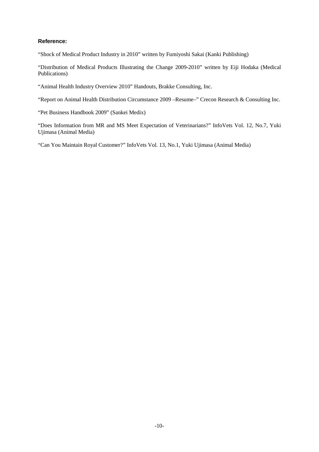#### **Reference:**

"Shock of Medical Product Industry in 2010" written by Fumiyoshi Sakai (Kanki Publishing)

"Distribution of Medical Products Illustrating the Change 2009-2010" written by Eiji Hodaka (Medical Publications)

"Animal Health Industry Overview 2010" Handouts, Brakke Consulting, Inc.

"Report on Animal Health Distribution Circumstance 2009 –Resume–" Crecon Research & Consulting Inc.

"Pet Business Handbook 2009" (Sankei Medix)

"Does Information from MR and MS Meet Expectation of Veterinarians?" InfoVets Vol. 12, No.7, Yuki Ujimasa (Animal Media)

"Can You Maintain Royal Customer?" InfoVets Vol. 13, No.1, Yuki Ujimasa (Animal Media)